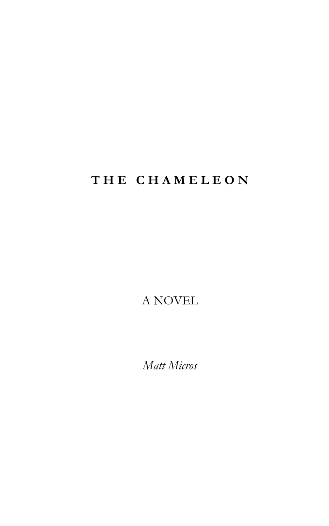# **T H E C H A M E L E O N**

A NOVEL

*Matt Micros*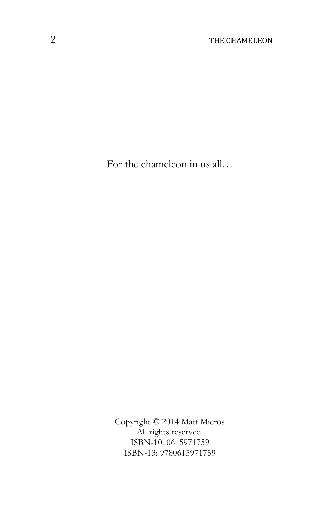For the chameleon in us all…

Copyright © 2014 Matt Micros All rights reserved. ISBN-10: 0615971759 ISBN-13: 9780615971759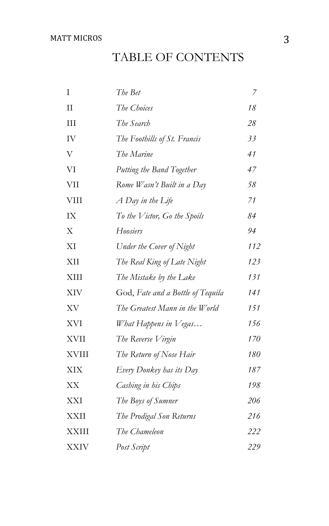### MATT MICROS 3

# TABLE OF CONTENTS

| I            | The Bet                           | 7   |
|--------------|-----------------------------------|-----|
| $\rm II$     | The Choices                       | 18  |
| III          | The Search                        | 28  |
| IV           | The Foothills of St. Francis      | 33  |
| V            | The Marine                        | 41  |
| VI           | Putting the Band Together         | 47  |
| <b>VII</b>   | Rome Wasn't Built in a Day        | 58  |
| <b>VIII</b>  | A Day in the Life                 | 71  |
| IX           | To the Victor, Go the Spoils      | 84  |
| X            | Hoosiers                          | 94  |
| XI           | Under the Cover of Night          | 112 |
| XII          | The Real King of Late Night       | 123 |
| XIII         | The Mistake by the Lake           | 131 |
| <b>XIV</b>   | God, Fate and a Bottle of Tequila | 141 |
| XV           | The Greatest Mann in the World    | 151 |
| <b>XVI</b>   | What Happens in Vegas             | 156 |
| <b>XVII</b>  | The Reverse Virgin                | 170 |
| <b>XVIII</b> | The Return of Nose Hair           | 180 |
| XIX          | Every Donkey has its Day          | 187 |
| XX           | Cashing in his Chips              | 198 |
| XXI          | The Boys of Sumner                | 206 |
| XXII         | The Prodigal Son Returns          | 216 |
| <b>XXIII</b> | The Chameleon                     | 222 |
| <b>XXIV</b>  | Post Script                       | 229 |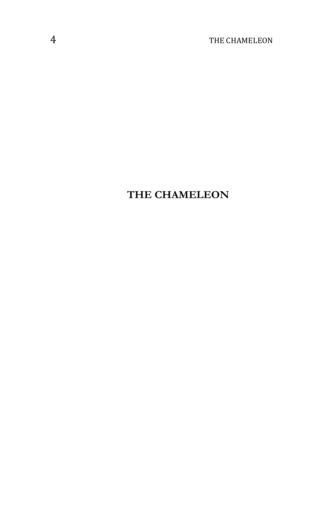# **THE CHAMELEON**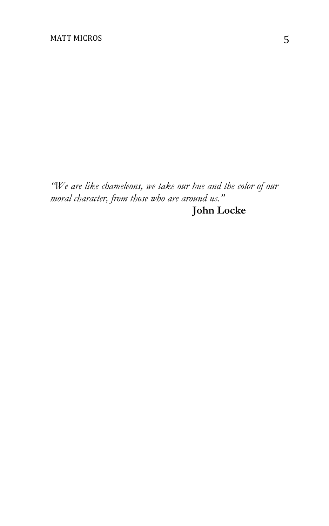*"We are like chameleons, we take our hue and the color of our moral character, from those who are around us."* **John Locke**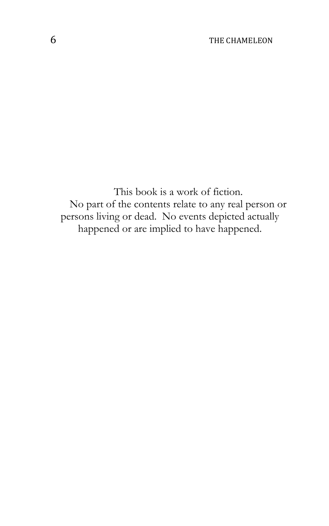This book is a work of fiction. No part of the contents relate to any real person or persons living or dead. No events depicted actually happened or are implied to have happened.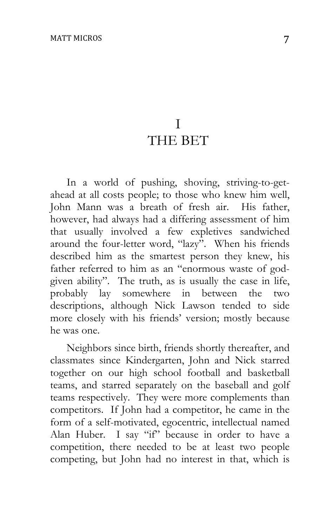# I THE BET

In a world of pushing, shoving, striving-to-getahead at all costs people; to those who knew him well, John Mann was a breath of fresh air. His father, however, had always had a differing assessment of him that usually involved a few expletives sandwiched around the four-letter word, "lazy". When his friends described him as the smartest person they knew, his father referred to him as an "enormous waste of godgiven ability". The truth, as is usually the case in life, probably lay somewhere in between the two descriptions, although Nick Lawson tended to side more closely with his friends' version; mostly because he was one.

Neighbors since birth, friends shortly thereafter, and classmates since Kindergarten, John and Nick starred together on our high school football and basketball teams, and starred separately on the baseball and golf teams respectively. They were more complements than competitors. If John had a competitor, he came in the form of a self-motivated, egocentric, intellectual named Alan Huber. I say "if" because in order to have a competition, there needed to be at least two people competing, but John had no interest in that, which is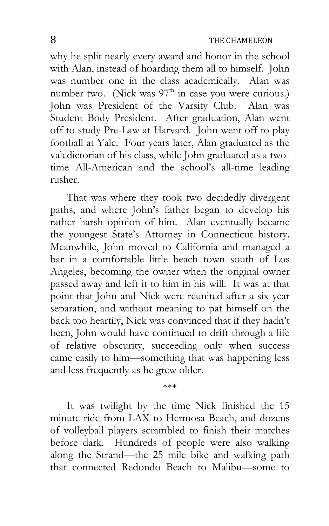why he split nearly every award and honor in the school with Alan, instead of hoarding them all to himself. John was number one in the class academically. Alan was number two. (Nick was  $97<sup>th</sup>$  in case you were curious.) John was President of the Varsity Club. Alan was Student Body President. After graduation, Alan went off to study Pre-Law at Harvard. John went off to play football at Yale. Four years later, Alan graduated as the valedictorian of his class, while John graduated as a twotime All-American and the school's all-time leading rusher.

That was where they took two decidedly divergent paths, and where John's father began to develop his rather harsh opinion of him. Alan eventually became the youngest State's Attorney in Connecticut history. Meanwhile, John moved to California and managed a bar in a comfortable little beach town south of Los Angeles, becoming the owner when the original owner passed away and left it to him in his will. It was at that point that John and Nick were reunited after a six year separation, and without meaning to pat himself on the back too heartily, Nick was convinced that if they hadn't been, John would have continued to drift through a life of relative obscurity, succeeding only when success came easily to him—something that was happening less and less frequently as he grew older.

It was twilight by the time Nick finished the 15 minute ride from LAX to Hermosa Beach, and dozens of volleyball players scrambled to finish their matches before dark. Hundreds of people were also walking along the Strand—the 25 mile bike and walking path that connected Redondo Beach to Malibu—some to

\*\*\*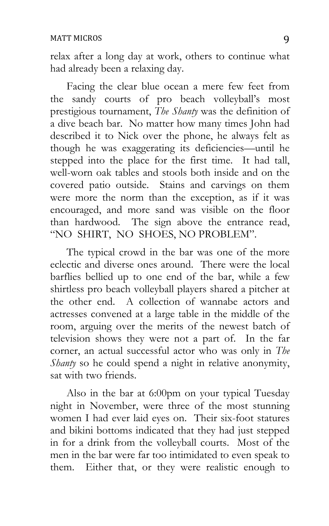relax after a long day at work, others to continue what had already been a relaxing day.

Facing the clear blue ocean a mere few feet from the sandy courts of pro beach volleyball's most prestigious tournament, *The Shanty* was the definition of a dive beach bar. No matter how many times John had described it to Nick over the phone, he always felt as though he was exaggerating its deficiencies—until he stepped into the place for the first time. It had tall, well-worn oak tables and stools both inside and on the covered patio outside. Stains and carvings on them were more the norm than the exception, as if it was encouraged, and more sand was visible on the floor than hardwood. The sign above the entrance read, "NO SHIRT, NO SHOES, NO PROBLEM".

The typical crowd in the bar was one of the more eclectic and diverse ones around. There were the local barflies bellied up to one end of the bar, while a few shirtless pro beach volleyball players shared a pitcher at the other end. A collection of wannabe actors and actresses convened at a large table in the middle of the room, arguing over the merits of the newest batch of television shows they were not a part of. In the far corner, an actual successful actor who was only in *The Shanty* so he could spend a night in relative anonymity, sat with two friends.

Also in the bar at 6:00pm on your typical Tuesday night in November, were three of the most stunning women I had ever laid eyes on. Their six-foot statures and bikini bottoms indicated that they had just stepped in for a drink from the volleyball courts. Most of the men in the bar were far too intimidated to even speak to them. Either that, or they were realistic enough to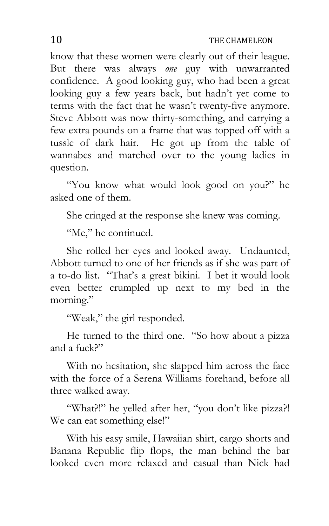know that these women were clearly out of their league. But there was always *one* guy with unwarranted confidence. A good looking guy, who had been a great looking guy a few years back, but hadn't yet come to terms with the fact that he wasn't twenty-five anymore. Steve Abbott was now thirty-something, and carrying a few extra pounds on a frame that was topped off with a tussle of dark hair. He got up from the table of wannabes and marched over to the young ladies in question.

"You know what would look good on you?" he asked one of them.

She cringed at the response she knew was coming.

"Me," he continued.

She rolled her eyes and looked away. Undaunted, Abbott turned to one of her friends as if she was part of a to-do list. "That's a great bikini. I bet it would look even better crumpled up next to my bed in the morning."

"Weak," the girl responded.

He turned to the third one. "So how about a pizza and a fuck?"

With no hesitation, she slapped him across the face with the force of a Serena Williams forehand, before all three walked away.

"What?!" he yelled after her, "you don't like pizza?! We can eat something else!"

With his easy smile, Hawaiian shirt, cargo shorts and Banana Republic flip flops, the man behind the bar looked even more relaxed and casual than Nick had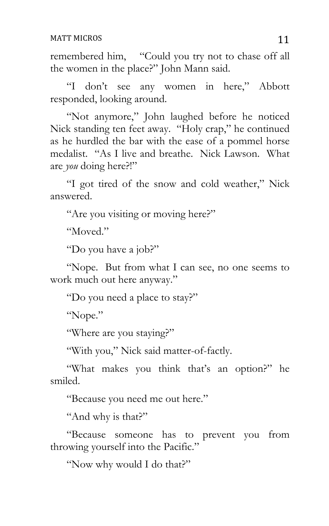#### MATT MICROS 11

remembered him, "Could you try not to chase off all the women in the place?" John Mann said.

"I don't see any women in here," Abbott responded, looking around.

"Not anymore," John laughed before he noticed Nick standing ten feet away. "Holy crap," he continued as he hurdled the bar with the ease of a pommel horse medalist. "As I live and breathe. Nick Lawson. What are *you* doing here?!"

"I got tired of the snow and cold weather," Nick answered.

"Are you visiting or moving here?"

"Moved."

"Do you have a job?"

"Nope. But from what I can see, no one seems to work much out here anyway."

"Do you need a place to stay?"

"Nope."

"Where are you staying?"

"With you," Nick said matter-of-factly.

"What makes you think that's an option?" he smiled.

"Because you need me out here."

"And why is that?"

"Because someone has to prevent you from throwing yourself into the Pacific."

"Now why would I do that?"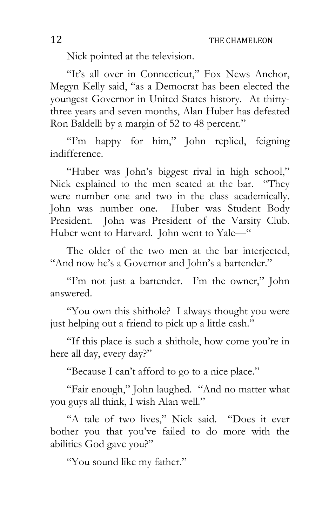Nick pointed at the television.

"It's all over in Connecticut," Fox News Anchor, Megyn Kelly said, "as a Democrat has been elected the youngest Governor in United States history. At thirtythree years and seven months, Alan Huber has defeated Ron Baldelli by a margin of 52 to 48 percent."

"I'm happy for him," John replied, feigning indifference.

"Huber was John's biggest rival in high school," Nick explained to the men seated at the bar. "They were number one and two in the class academically. John was number one. Huber was Student Body President. John was President of the Varsity Club. Huber went to Harvard. John went to Yale—"

The older of the two men at the bar interjected, "And now he's a Governor and John's a bartender."

"I'm not just a bartender. I'm the owner," John answered.

"You own this shithole? I always thought you were just helping out a friend to pick up a little cash."

"If this place is such a shithole, how come you're in here all day, every day?"

"Because I can't afford to go to a nice place."

"Fair enough," John laughed. "And no matter what you guys all think, I wish Alan well."

"A tale of two lives," Nick said. "Does it ever bother you that you've failed to do more with the abilities God gave you?"

"You sound like my father."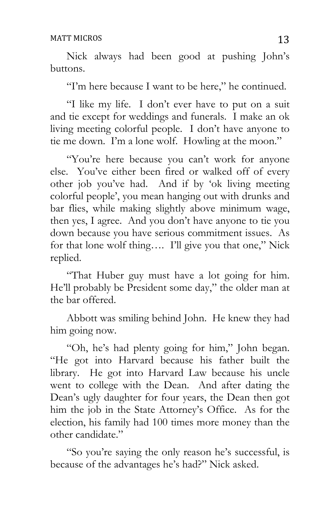Nick always had been good at pushing John's buttons.

"I'm here because I want to be here," he continued.

"I like my life. I don't ever have to put on a suit and tie except for weddings and funerals. I make an ok living meeting colorful people. I don't have anyone to tie me down. I'm a lone wolf. Howling at the moon."

"You're here because you can't work for anyone else. You've either been fired or walked off of every other job you've had. And if by 'ok living meeting colorful people', you mean hanging out with drunks and bar flies, while making slightly above minimum wage, then yes, I agree. And you don't have anyone to tie you down because you have serious commitment issues. As for that lone wolf thing…. I'll give you that one," Nick replied.

"That Huber guy must have a lot going for him. He'll probably be President some day," the older man at the bar offered.

Abbott was smiling behind John. He knew they had him going now.

"Oh, he's had plenty going for him," John began. "He got into Harvard because his father built the library. He got into Harvard Law because his uncle went to college with the Dean. And after dating the Dean's ugly daughter for four years, the Dean then got him the job in the State Attorney's Office. As for the election, his family had 100 times more money than the other candidate."

"So you're saying the only reason he's successful, is because of the advantages he's had?" Nick asked.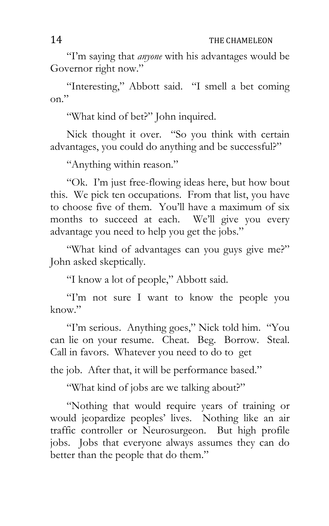"I'm saying that *anyone* with his advantages would be Governor right now."

"Interesting," Abbott said. "I smell a bet coming on."

"What kind of bet?" John inquired.

Nick thought it over. "So you think with certain advantages, you could do anything and be successful?"

"Anything within reason."

"Ok. I'm just free-flowing ideas here, but how bout this. We pick ten occupations. From that list, you have to choose five of them. You'll have a maximum of six months to succeed at each. We'll give you every advantage you need to help you get the jobs."

"What kind of advantages can you guys give me?" John asked skeptically.

"I know a lot of people," Abbott said.

"I'm not sure I want to know the people you know."

"I'm serious. Anything goes," Nick told him. "You can lie on your resume. Cheat. Beg. Borrow. Steal. Call in favors. Whatever you need to do to get

the job. After that, it will be performance based."

"What kind of jobs are we talking about?"

"Nothing that would require years of training or would jeopardize peoples' lives. Nothing like an air traffic controller or Neurosurgeon. But high profile jobs. Jobs that everyone always assumes they can do better than the people that do them."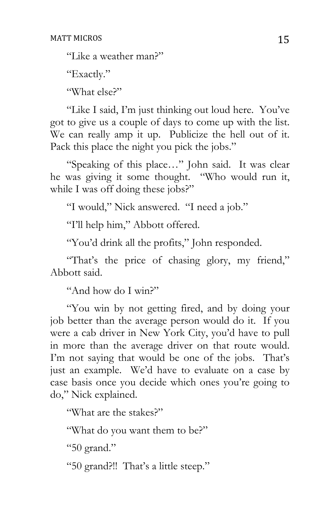"Like a weather man?"

"Exactly."

"What else?"

"Like I said, I'm just thinking out loud here. You've got to give us a couple of days to come up with the list. We can really amp it up. Publicize the hell out of it. Pack this place the night you pick the jobs."

"Speaking of this place…" John said. It was clear he was giving it some thought. "Who would run it, while I was off doing these jobs?"

"I would," Nick answered. "I need a job."

"I'll help him," Abbott offered.

"You'd drink all the profits," John responded.

"That's the price of chasing glory, my friend," Abbott said.

"And how do I win?"

"You win by not getting fired, and by doing your job better than the average person would do it. If you were a cab driver in New York City, you'd have to pull in more than the average driver on that route would. I'm not saying that would be one of the jobs. That's just an example. We'd have to evaluate on a case by case basis once you decide which ones you're going to do," Nick explained.

"What are the stakes?"

"What do you want them to be?"

"50 grand."

"50 grand?!! That's a little steep."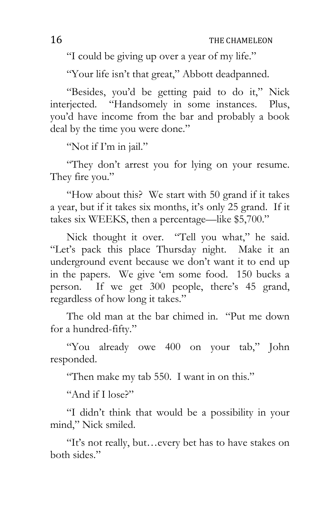"I could be giving up over a year of my life."

"Your life isn't that great," Abbott deadpanned.

"Besides, you'd be getting paid to do it," Nick interjected. "Handsomely in some instances. Plus, you'd have income from the bar and probably a book deal by the time you were done."

"Not if I'm in jail."

"They don't arrest you for lying on your resume. They fire you."

"How about this? We start with 50 grand if it takes a year, but if it takes six months, it's only 25 grand. If it takes six WEEKS, then a percentage—like \$5,700."

Nick thought it over. "Tell you what," he said. "Let's pack this place Thursday night. Make it an underground event because we don't want it to end up in the papers. We give 'em some food. 150 bucks a person. If we get 300 people, there's 45 grand, regardless of how long it takes."

The old man at the bar chimed in. "Put me down for a hundred-fifty."

"You already owe 400 on your tab," John responded.

"Then make my tab 550. I want in on this."

"And if I lose?"

"I didn't think that would be a possibility in your mind," Nick smiled.

"It's not really, but…every bet has to have stakes on both sides."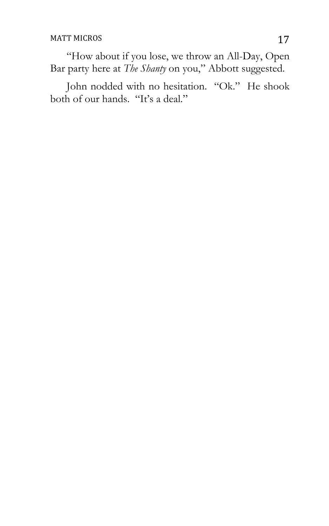"How about if you lose, we throw an All-Day, Open Bar party here at *The Shanty* on you," Abbott suggested.

John nodded with no hesitation. "Ok." He shook both of our hands. "It's a deal."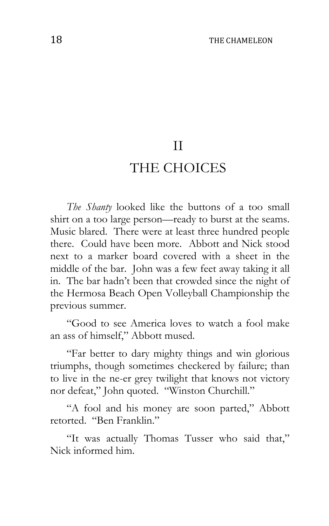## II

## THE CHOICES

*The Shanty* looked like the buttons of a too small shirt on a too large person—ready to burst at the seams. Music blared. There were at least three hundred people there. Could have been more. Abbott and Nick stood next to a marker board covered with a sheet in the middle of the bar. John was a few feet away taking it all in. The bar hadn't been that crowded since the night of the Hermosa Beach Open Volleyball Championship the previous summer.

"Good to see America loves to watch a fool make an ass of himself," Abbott mused.

"Far better to dary mighty things and win glorious triumphs, though sometimes checkered by failure; than to live in the ne-er grey twilight that knows not victory nor defeat," John quoted. "Winston Churchill."

"A fool and his money are soon parted," Abbott retorted. "Ben Franklin."

"It was actually Thomas Tusser who said that," Nick informed him.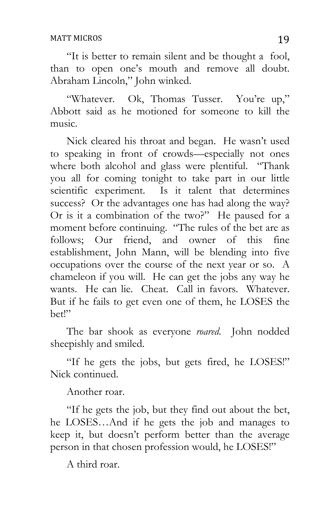"It is better to remain silent and be thought a fool, than to open one's mouth and remove all doubt. Abraham Lincoln," John winked.

"Whatever. Ok, Thomas Tusser. You're up," Abbott said as he motioned for someone to kill the music.

Nick cleared his throat and began. He wasn't used to speaking in front of crowds—especially not ones where both alcohol and glass were plentiful. "Thank you all for coming tonight to take part in our little scientific experiment. Is it talent that determines success? Or the advantages one has had along the way? Or is it a combination of the two?" He paused for a moment before continuing. "The rules of the bet are as follows; Our friend, and owner of this fine establishment, John Mann, will be blending into five occupations over the course of the next year or so. A chameleon if you will. He can get the jobs any way he wants. He can lie. Cheat. Call in favors. Whatever. But if he fails to get even one of them, he LOSES the bet!"

The bar shook as everyone *roared*. John nodded sheepishly and smiled.

"If he gets the jobs, but gets fired, he LOSES!" Nick continued.

Another roar.

"If he gets the job, but they find out about the bet, he LOSES…And if he gets the job and manages to keep it, but doesn't perform better than the average person in that chosen profession would, he LOSES!"

A third roar.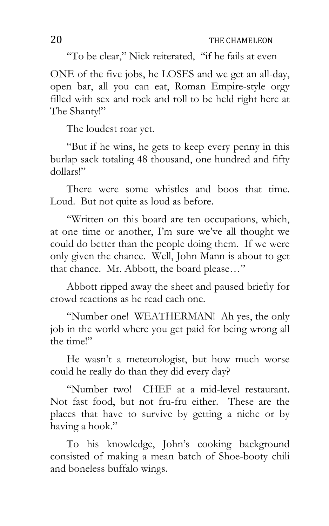"To be clear," Nick reiterated, "if he fails at even

ONE of the five jobs, he LOSES and we get an all-day, open bar, all you can eat, Roman Empire-style orgy filled with sex and rock and roll to be held right here at The Shanty!"

The loudest roar yet.

"But if he wins, he gets to keep every penny in this burlap sack totaling 48 thousand, one hundred and fifty dollars!"

There were some whistles and boos that time. Loud. But not quite as loud as before.

"Written on this board are ten occupations, which, at one time or another, I'm sure we've all thought we could do better than the people doing them. If we were only given the chance. Well, John Mann is about to get that chance. Mr. Abbott, the board please…"

Abbott ripped away the sheet and paused briefly for crowd reactions as he read each one.

"Number one! WEATHERMAN! Ah yes, the only job in the world where you get paid for being wrong all the time!"

He wasn't a meteorologist, but how much worse could he really do than they did every day?

"Number two! CHEF at a mid-level restaurant. Not fast food, but not fru-fru either. These are the places that have to survive by getting a niche or by having a hook."

To his knowledge, John's cooking background consisted of making a mean batch of Shoe-booty chili and boneless buffalo wings.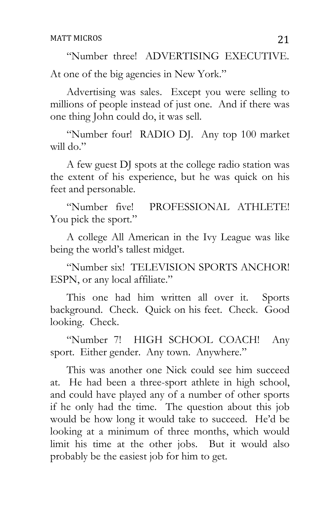"Number three! ADVERTISING EXECUTIVE. At one of the big agencies in New York."

Advertising was sales. Except you were selling to millions of people instead of just one. And if there was one thing John could do, it was sell.

"Number four! RADIO DJ. Any top 100 market will do."

A few guest DJ spots at the college radio station was the extent of his experience, but he was quick on his feet and personable.

"Number five! PROFESSIONAL ATHLETE! You pick the sport."

A college All American in the Ivy League was like being the world's tallest midget.

"Number six! TELEVISION SPORTS ANCHOR! ESPN, or any local affiliate."

This one had him written all over it. Sports background. Check. Quick on his feet. Check. Good looking. Check.

"Number 7! HIGH SCHOOL COACH! Any sport. Either gender. Any town. Anywhere."

This was another one Nick could see him succeed at. He had been a three-sport athlete in high school, and could have played any of a number of other sports if he only had the time. The question about this job would be how long it would take to succeed. He'd be looking at a minimum of three months, which would limit his time at the other jobs. But it would also probably be the easiest job for him to get.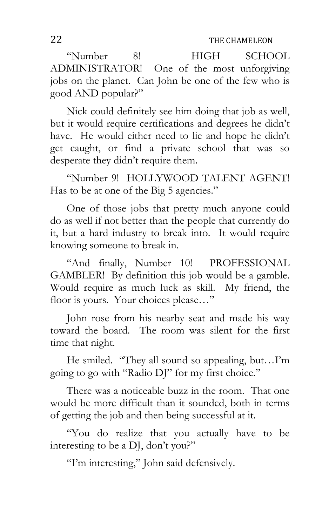"Number 8! HIGH SCHOOL ADMINISTRATOR! One of the most unforgiving jobs on the planet. Can John be one of the few who is good AND popular?"

Nick could definitely see him doing that job as well, but it would require certifications and degrees he didn't have. He would either need to lie and hope he didn't get caught, or find a private school that was so desperate they didn't require them.

"Number 9! HOLLYWOOD TALENT AGENT! Has to be at one of the Big 5 agencies."

One of those jobs that pretty much anyone could do as well if not better than the people that currently do it, but a hard industry to break into. It would require knowing someone to break in.

"And finally, Number 10! PROFESSIONAL GAMBLER! By definition this job would be a gamble. Would require as much luck as skill. My friend, the floor is yours. Your choices please..."

John rose from his nearby seat and made his way toward the board. The room was silent for the first time that night.

He smiled. "They all sound so appealing, but…I'm going to go with "Radio DJ" for my first choice."

There was a noticeable buzz in the room. That one would be more difficult than it sounded, both in terms of getting the job and then being successful at it.

"You do realize that you actually have to be interesting to be a DJ, don't you?"

"I'm interesting," John said defensively.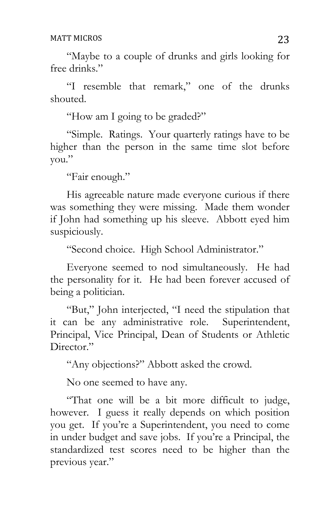"Maybe to a couple of drunks and girls looking for free drinks."

"I resemble that remark," one of the drunks shouted.

"How am I going to be graded?"

"Simple. Ratings. Your quarterly ratings have to be higher than the person in the same time slot before you."

"Fair enough."

His agreeable nature made everyone curious if there was something they were missing. Made them wonder if John had something up his sleeve. Abbott eyed him suspiciously.

"Second choice. High School Administrator."

Everyone seemed to nod simultaneously. He had the personality for it. He had been forever accused of being a politician.

"But," John interjected, "I need the stipulation that it can be any administrative role. Superintendent, Principal, Vice Principal, Dean of Students or Athletic Director."

"Any objections?" Abbott asked the crowd.

No one seemed to have any.

"That one will be a bit more difficult to judge, however. I guess it really depends on which position you get. If you're a Superintendent, you need to come in under budget and save jobs. If you're a Principal, the standardized test scores need to be higher than the previous year."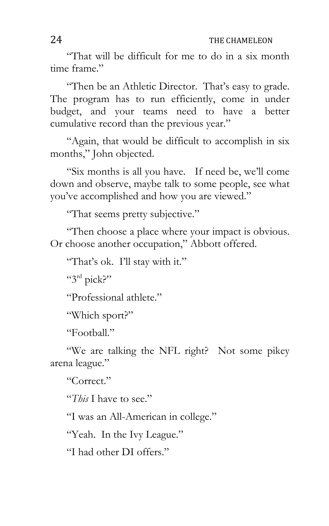"That will be difficult for me to do in a six month time frame."

"Then be an Athletic Director. That's easy to grade. The program has to run efficiently, come in under budget, and your teams need to have a better cumulative record than the previous year."

"Again, that would be difficult to accomplish in six months," John objected.

"Six months is all you have. If need be, we'll come down and observe, maybe talk to some people, see what you've accomplished and how you are viewed."

"That seems pretty subjective."

"Then choose a place where your impact is obvious. Or choose another occupation," Abbott offered.

"That's ok. I'll stay with it."

"3rd pick?"

"Professional athlete."

"Which sport?"

"Football."

"We are talking the NFL right? Not some pikey arena league."

"Correct."

"*This* I have to see."

"I was an All-American in college."

"Yeah. In the Ivy League."

"I had other DI offers."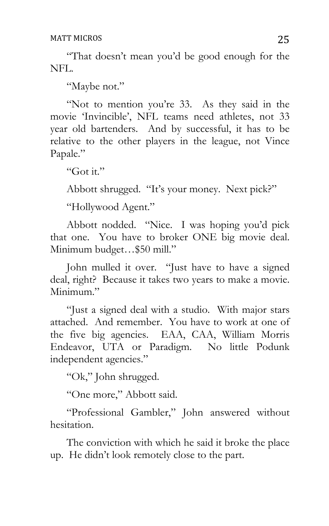"That doesn't mean you'd be good enough for the NFL.

"Maybe not."

"Not to mention you're 33. As they said in the movie 'Invincible', NFL teams need athletes, not 33 year old bartenders. And by successful, it has to be relative to the other players in the league, not Vince Papale."

"Got it."

Abbott shrugged. "It's your money. Next pick?"

"Hollywood Agent."

Abbott nodded. "Nice. I was hoping you'd pick that one. You have to broker ONE big movie deal. Minimum budget…\$50 mill."

John mulled it over. "Just have to have a signed deal, right? Because it takes two years to make a movie. Minimum."

"Just a signed deal with a studio. With major stars attached. And remember. You have to work at one of the five big agencies. EAA, CAA, William Morris Endeavor, UTA or Paradigm. No little Podunk independent agencies."

"Ok," John shrugged.

"One more," Abbott said.

"Professional Gambler," John answered without hesitation.

The conviction with which he said it broke the place up. He didn't look remotely close to the part.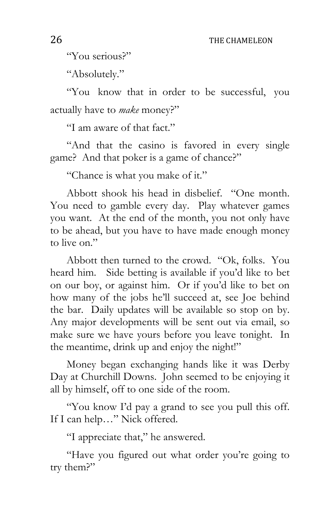"You serious?"

"Absolutely."

"You know that in order to be successful, you actually have to *make* money?"

"I am aware of that fact."

"And that the casino is favored in every single game? And that poker is a game of chance?"

"Chance is what you make of it."

Abbott shook his head in disbelief. "One month. You need to gamble every day. Play whatever games you want. At the end of the month, you not only have to be ahead, but you have to have made enough money to live on."

Abbott then turned to the crowd. "Ok, folks. You heard him. Side betting is available if you'd like to bet on our boy, or against him. Or if you'd like to bet on how many of the jobs he'll succeed at, see Joe behind the bar. Daily updates will be available so stop on by. Any major developments will be sent out via email, so make sure we have yours before you leave tonight. In the meantime, drink up and enjoy the night!"

Money began exchanging hands like it was Derby Day at Churchill Downs. John seemed to be enjoying it all by himself, off to one side of the room.

"You know I'd pay a grand to see you pull this off. If I can help…" Nick offered.

"I appreciate that," he answered.

"Have you figured out what order you're going to try them?"